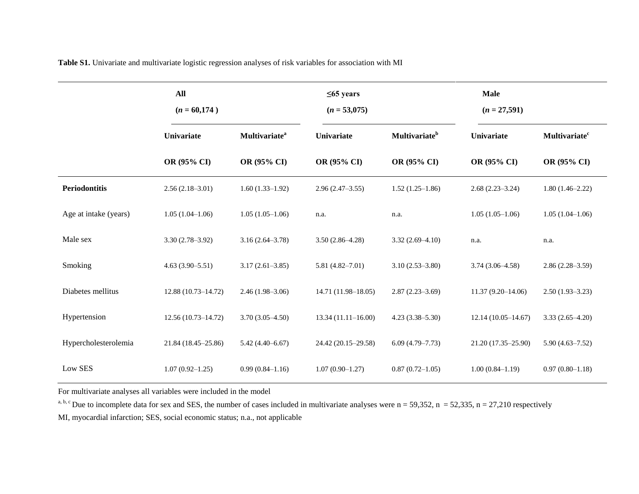**Table S1.** Univariate and multivariate logistic regression analyses of risk variables for association with MI

|                       | All<br>$(n = 60,174)$ |                                  | $\leq 65$ years<br>$(n = 53,075)$ |                           | <b>Male</b><br>$(n = 27,591)$ |                                 |
|-----------------------|-----------------------|----------------------------------|-----------------------------------|---------------------------|-------------------------------|---------------------------------|
|                       | Univariate            | <b>Multivariate</b> <sup>a</sup> | <b>Univariate</b>                 | Multivariate <sup>b</sup> | Univariate                    | <b>Multivariate<sup>c</sup></b> |
|                       | OR (95% CI)           | OR (95% CI)                      | OR (95% CI)                       | OR (95% CI)               | OR (95% CI)                   | OR (95% CI)                     |
| <b>Periodontitis</b>  | $2.56(2.18-3.01)$     | $1.60(1.33-1.92)$                | $2.96(2.47-3.55)$                 | $1.52(1.25-1.86)$         | $2.68(2.23 - 3.24)$           | $1.80(1.46 - 2.22)$             |
| Age at intake (years) | $1.05(1.04-1.06)$     | $1.05(1.05-1.06)$                | n.a.                              | n.a.                      | $1.05(1.05-1.06)$             | $1.05(1.04-1.06)$               |
| Male sex              | $3.30(2.78 - 3.92)$   | $3.16(2.64 - 3.78)$              | $3.50(2.86 - 4.28)$               | $3.32(2.69 - 4.10)$       | n.a.                          | n.a.                            |
| Smoking               | $4.63(3.90-5.51)$     | $3.17(2.61 - 3.85)$              | $5.81(4.82 - 7.01)$               | $3.10(2.53 - 3.80)$       | $3.74(3.06 - 4.58)$           | $2.86(2.28 - 3.59)$             |
| Diabetes mellitus     | 12.88 (10.73-14.72)   | $2.46(1.98-3.06)$                | $14.71(11.98 - 18.05)$            | $2.87(2.23 - 3.69)$       | $11.37(9.20 - 14.06)$         | $2.50(1.93 - 3.23)$             |
| Hypertension          | 12.56 (10.73-14.72)   | $3.70(3.05-4.50)$                | $13.34(11.11 - 16.00)$            | $4.23(3.38 - 5.30)$       | $12.14(10.05-14.67)$          | $3.33(2.65-4.20)$               |
| Hypercholesterolemia  | 21.84 (18.45–25.86)   | $5.42(4.40 - 6.67)$              | 24.42 (20.15–29.58)               | $6.09(4.79 - 7.73)$       | 21.20 (17.35-25.90)           | $5.90(4.63 - 7.52)$             |
| Low SES               | $1.07(0.92 - 1.25)$   | $0.99(0.84 - 1.16)$              | $1.07(0.90 - 1.27)$               | $0.87(0.72 - 1.05)$       | $1.00(0.84 - 1.19)$           | $0.97(0.80-1.18)$               |

For multivariate analyses all variables were included in the model

<sup>a, b, c</sup> Due to incomplete data for sex and SES, the number of cases included in multivariate analyses were  $n = 59,352$ ,  $n = 52,335$ ,  $n = 27,210$  respectively

MI, myocardial infarction; SES, social economic status; n.a., not applicable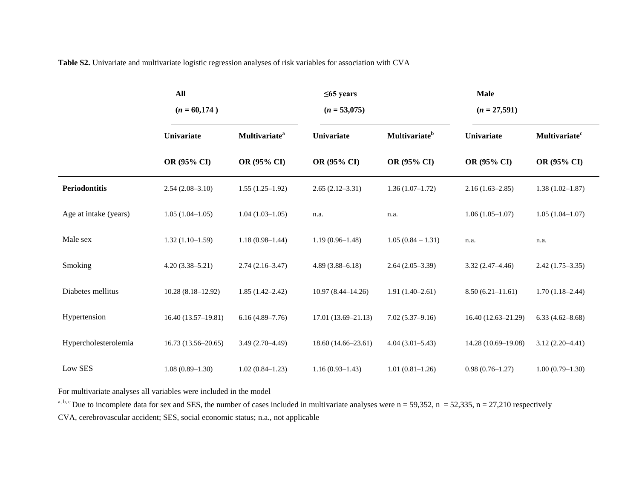**Table S2.** Univariate and multivariate logistic regression analyses of risk variables for association with CVA

|                       | <b>All</b><br>$(n = 60,174)$ |                                  | $\leq 65$ years<br>$(n = 53,075)$ |                           | <b>Male</b><br>$(n = 27,591)$ |                                 |
|-----------------------|------------------------------|----------------------------------|-----------------------------------|---------------------------|-------------------------------|---------------------------------|
|                       | Univariate                   | <b>Multivariate</b> <sup>a</sup> | Univariate                        | Multivariate <sup>b</sup> | Univariate                    | <b>Multivariate<sup>c</sup></b> |
|                       | OR (95% CI)                  | OR (95% CI)                      | OR (95% CI)                       | OR (95% CI)               | OR (95% CI)                   | OR (95% CI)                     |
| <b>Periodontitis</b>  | $2.54(2.08-3.10)$            | $1.55(1.25-1.92)$                | $2.65(2.12-3.31)$                 | $1.36(1.07-1.72)$         | $2.16(1.63 - 2.85)$           | $1.38(1.02 - 1.87)$             |
| Age at intake (years) | $1.05(1.04-1.05)$            | $1.04(1.03-1.05)$                | n.a.                              | n.a.                      | $1.06(1.05-1.07)$             | $1.05(1.04 - 1.07)$             |
| Male sex              | $1.32(1.10-1.59)$            | $1.18(0.98-1.44)$                | $1.19(0.96 - 1.48)$               | $1.05(0.84 - 1.31)$       | n.a.                          | n.a.                            |
| Smoking               | $4.20(3.38 - 5.21)$          | $2.74(2.16-3.47)$                | $4.89(3.88 - 6.18)$               | $2.64(2.05-3.39)$         | $3.32(2.47 - 4.46)$           | $2.42(1.75-3.35)$               |
| Diabetes mellitus     | $10.28(8.18-12.92)$          | $1.85(1.42 - 2.42)$              | $10.97(8.44 - 14.26)$             | $1.91(1.40-2.61)$         | $8.50(6.21-11.61)$            | $1.70(1.18-2.44)$               |
| Hypertension          | $16.40(13.57-19.81)$         | $6.16(4.89 - 7.76)$              | $17.01(13.69 - 21.13)$            | $7.02(5.37-9.16)$         | $16.40(12.63 - 21.29)$        | $6.33(4.62 - 8.68)$             |
| Hypercholesterolemia  | 16.73 (13.56–20.65)          | $3.49(2.70 - 4.49)$              | 18.60 (14.66–23.61)               | $4.04(3.01 - 5.43)$       | 14.28 (10.69-19.08)           | $3.12(2.20-4.41)$               |
| Low SES               | $1.08(0.89 - 1.30)$          | $1.02(0.84 - 1.23)$              | $1.16(0.93 - 1.43)$               | $1.01(0.81-1.26)$         | $0.98(0.76 - 1.27)$           | $1.00(0.79-1.30)$               |

For multivariate analyses all variables were included in the model

<sup>a, b, c</sup> Due to incomplete data for sex and SES, the number of cases included in multivariate analyses were  $n = 59,352$ ,  $n = 52,335$ ,  $n = 27,210$  respectively

CVA, cerebrovascular accident; SES, social economic status; n.a., not applicable